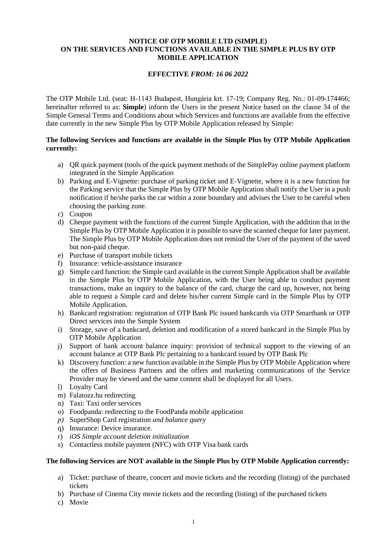#### **NOTICE OF OTP MOBILE LTD (SIMPLE) ON THE SERVICES AND FUNCTIONS AVAILABLE IN THE SIMPLE PLUS BY OTP MOBILE APPLICATION**

### **EFFECTIVE** *FROM: 16 06 2022*

The OTP Mobile Ltd. (seat: H-1143 Budapest, Hungária krt. 17-19; Company Reg. No.: 01-09-174466; hereinafter referred to as: **Simple**) inform the Users in the present Notice based on the clause 34 of the Simple General Terms and Conditions about which Services and functions are available from the effective date currently in the new Simple Plus by OTP Mobile Application released by Simple:

### **The following Services and functions are available in the Simple Plus by OTP Mobile Application currently:**

- a) QR quick payment (tools of the quick payment methods of the SimplePay online payment platform integrated in the Simple Application
- b) Parking and E-Vignette: purchase of parking ticket and E-Vignette, where it is a new function for the Parking service that the Simple Plus by OTP Mobile Application shall notify the User in a push notification if he/she parks the car within a zone boundary and advises the User to be careful when choosing the parking zone.
- c) Coupon
- d) Cheque payment with the functions of the current Simple Application, with the addition that in the Simple Plus by OTP Mobile Application it is possible to save the scanned cheque for later payment. The Simple Plus by OTP Mobile Application does not remind the User of the payment of the saved but non-paid cheque.
- e) Purchase of transport mobile tickets
- f) Insurance: vehicle-assistance insurance
- g) Simple card function: the Simple card available in the current Simple Application shall be available in the Simple Plus by OTP Mobile Application, with the User being able to conduct payment transactions, make an inquiry to the balance of the card, charge the card up, however, not being able to request a Simple card and delete his/her current Simple card in the Simple Plus by OTP Mobile Application.
- h) Bankcard registration: registration of OTP Bank Plc issued bankcards via OTP Smartbank or OTP Direct services into the Simple System
- i) Storage, save of a bankcard, deletion and modification of a stored bankcard in the Simple Plus by OTP Mobile Application
- j) Support of bank account balance inquiry: provision of technical support to the viewing of an account balance at OTP Bank Plc pertaining to a bankcard issued by OTP Bank Plc
- k) Discovery function: a new function available in the Simple Plus by OTP Mobile Application where the offers of Business Partners and the offers and marketing communications of the Service Provider may be viewed and the same content shall be displayed for all Users.
- l) Loyalty Card
- m) Falatozz.hu redirecting
- n) Taxi: Taxi order services
- o) Foodpanda: redirecting to the FoodPanda mobile application
- *p)* SuperShop Card registration *and balance query*
- q) Insurance: Device insurance.
- r) *iOS Simple account deletion initialization*
- s) Contactless mobile payment (NFC) with OTP Visa bank cards

# **The following Services are NOT available in the Simple Plus by OTP Mobile Application currently:**

- a) Ticket: purchase of theatre, concert and movie tickets and the recording (listing) of the purchased tickets
- b) Purchase of Cinema City movie tickets and the recording (listing) of the purchased tickets
- c) Movie